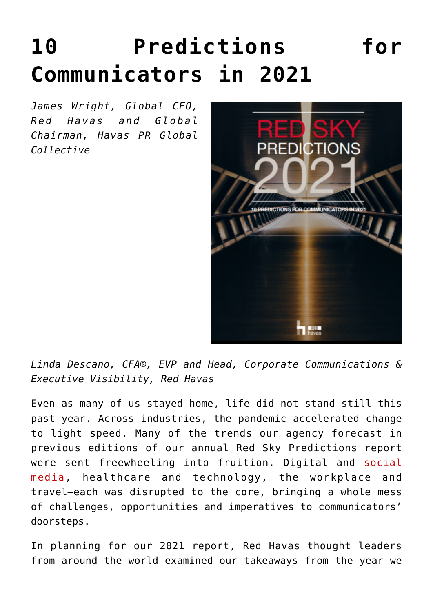# **[10 Predictions for](https://www.commpro.biz/10-predictions-for-communicators-in-2021/) [Communicators in 2021](https://www.commpro.biz/10-predictions-for-communicators-in-2021/)**

*James Wright, Global CEO, Red Havas and Global Chairman, Havas PR Global Collective*



*Linda Descano, CFA®, EVP and Head, Corporate Communications & Executive Visibility, Red Havas*

Even as many of us stayed home, life did not stand still this past year. Across industries, the pandemic accelerated change to light speed. Many of the trends our agency forecast in previous editions of our annual Red Sky Predictions report were sent freewheeling into fruition. Digital and [social](https://www.commpro.biz/social-media-section/) [media,](https://www.commpro.biz/social-media-section/) healthcare and technology, the workplace and travel—each was disrupted to the core, bringing a whole mess of challenges, opportunities and imperatives to communicators' doorsteps.

In planning for our 2021 report, Red Havas thought leaders from around the world examined our takeaways from the year we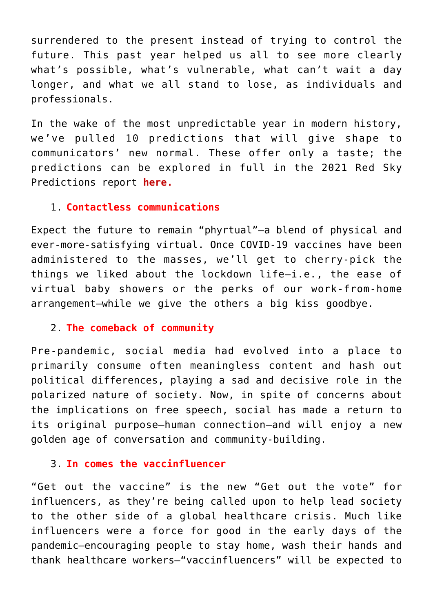surrendered to the present instead of trying to control the future. This past year helped us all to see more clearly what's possible, what's vulnerable, what can't wait a day longer, and what we all stand to lose, as individuals and professionals.

In the wake of the most unpredictable year in modern history, we've pulled 10 predictions that will give shape to communicators' new normal. These offer only a taste; the predictions can be explored in full in the 2021 Red Sky Predictions report **[here](https://redhavas.com/2021-red-sky-predictions/).**

## 1. **Contactless communications**

Expect the future to remain "phyrtual"—a blend of physical and ever-more-satisfying virtual. Once COVID-19 vaccines have been administered to the masses, we'll get to cherry-pick the things we liked about the lockdown life—i.e., the ease of virtual baby showers or the perks of our work-from-home arrangement—while we give the others a big kiss goodbye.

## 2. **The comeback of community**

Pre-pandemic, social media had evolved into a place to primarily consume often meaningless content and hash out political differences, playing a sad and decisive role in the polarized nature of society. Now, in spite of concerns about the implications on free speech, social has made a return to its original purpose—human connection—and will enjoy a new golden age of conversation and community-building.

## 3. **In comes the vaccinfluencer**

"Get out the vaccine" is the new "Get out the vote" for influencers, as they're being called upon to help lead society to the other side of a global healthcare crisis. Much like influencers were a force for good in the early days of the pandemic—encouraging people to stay home, wash their hands and thank healthcare workers—"vaccinfluencers" will be expected to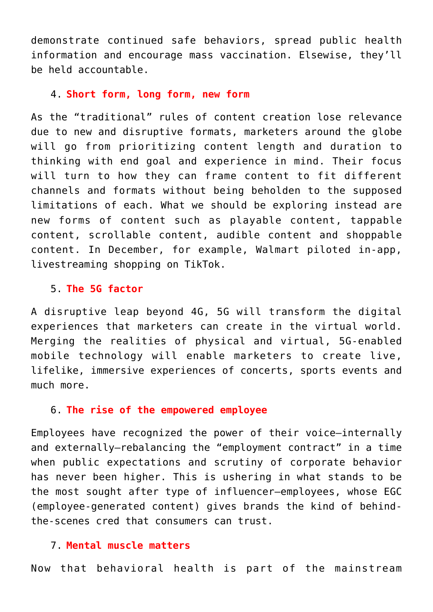demonstrate continued safe behaviors, spread public health information and encourage mass vaccination. Elsewise, they'll be held accountable.

#### 4. **Short form, long form, new form**

As the "traditional" rules of content creation lose relevance due to new and disruptive formats, marketers around the globe will go from prioritizing content length and duration to thinking with end goal and experience in mind. Their focus will turn to how they can frame content to fit different channels and formats without being beholden to the supposed limitations of each. What we should be exploring instead are new forms of content such as playable content, tappable content, scrollable content, audible content and shoppable content. In December, for example, Walmart piloted in-app, livestreaming shopping on TikTok.

## 5. **The 5G factor**

A disruptive leap beyond 4G, 5G will transform the digital experiences that marketers can create in the virtual world. Merging the realities of physical and virtual, 5G-enabled mobile technology will enable marketers to create live, lifelike, immersive experiences of concerts, sports events and much more.

#### 6. **The rise of the empowered employee**

Employees have recognized the power of their voice—internally and externally—rebalancing the "employment contract" in a time when public expectations and scrutiny of corporate behavior has never been higher. This is ushering in what stands to be the most sought after type of influencer—employees, whose EGC (employee-generated content) gives brands the kind of behindthe-scenes cred that consumers can trust.

## 7. **Mental muscle matters**

Now that behavioral health is part of the mainstream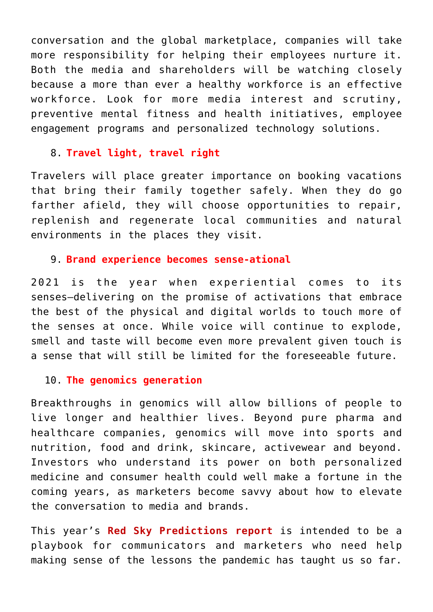conversation and the global marketplace, companies will take more responsibility for helping their employees nurture it. Both the media and shareholders will be watching closely because a more than ever a healthy workforce is an effective workforce. Look for more media interest and scrutiny, preventive mental fitness and health initiatives, employee engagement programs and personalized technology solutions.

# 8. **Travel light, travel right**

Travelers will place greater importance on booking vacations that bring their family together safely. When they do go farther afield, they will choose opportunities to repair, replenish and regenerate local communities and natural environments in the places they visit.

## 9. **Brand experience becomes sense-ational**

2021 is the year when experiential comes to its senses—delivering on the promise of activations that embrace the best of the physical and digital worlds to touch more of the senses at once. While voice will continue to explode, smell and taste will become even more prevalent given touch is a sense that will still be limited for the foreseeable future.

# 10. **The genomics generation**

Breakthroughs in genomics will allow billions of people to live longer and healthier lives. Beyond pure pharma and healthcare companies, genomics will move into sports and nutrition, food and drink, skincare, activewear and beyond. Investors who understand its power on both personalized medicine and consumer health could well make a fortune in the coming years, as marketers become savvy about how to elevate the conversation to media and brands.

This year's **[Red Sky Predictions report](https://redhavas.com/2021-red-sky-predictions/)** is intended to be a playbook for communicators and marketers who need help making sense of the lessons the pandemic has taught us so far.